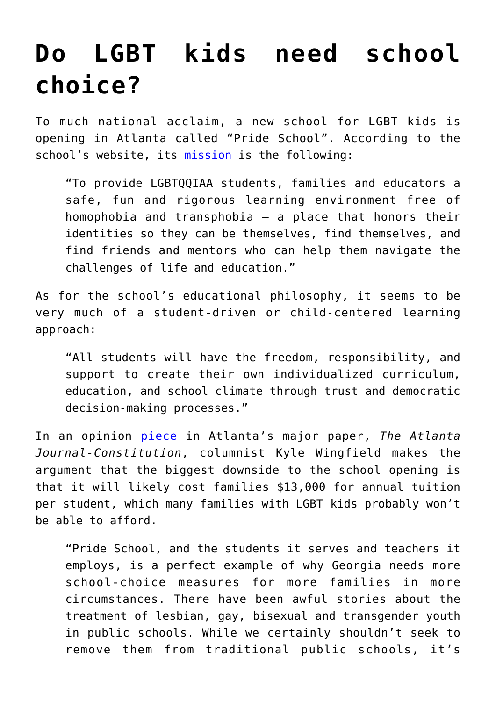## **[Do LGBT kids need school](https://intellectualtakeout.org/2016/01/do-lgbt-kids-need-school-choice/) [choice?](https://intellectualtakeout.org/2016/01/do-lgbt-kids-need-school-choice/)**

To much national acclaim, a new school for LGBT kids is opening in Atlanta called "Pride School". According to the school's website, its [mission](http://www.prideschoolatlanta.org/pride-school-atlanta-mission/) is the following:

"To provide LGBTQQIAA students, families and educators a safe, fun and rigorous learning environment free of homophobia and transphobia – a place that honors their identities so they can be themselves, find themselves, and find friends and mentors who can help them navigate the challenges of life and education."

As for the school's educational philosophy, it seems to be very much of a student-driven or child-centered learning approach:

"All students will have the freedom, responsibility, and support to create their own individualized curriculum, education, and school climate through trust and democratic decision-making processes."

In an opinion [piece](http://kylewingfield.blog.myajc.com/2016/01/07/gay-students-need-school-choice-too-will-democrats-let-them-have-it/) in Atlanta's major paper, *The Atlanta Journal-Constitution*, columnist Kyle Wingfield makes the argument that the biggest downside to the school opening is that it will likely cost families \$13,000 for annual tuition per student, which many families with LGBT kids probably won't be able to afford.

"Pride School, and the students it serves and teachers it employs, is a perfect example of why Georgia needs more school-choice measures for more families in more circumstances. There have been awful stories about the treatment of lesbian, gay, bisexual and transgender youth in public schools. While we certainly shouldn't seek to remove them from traditional public schools, it's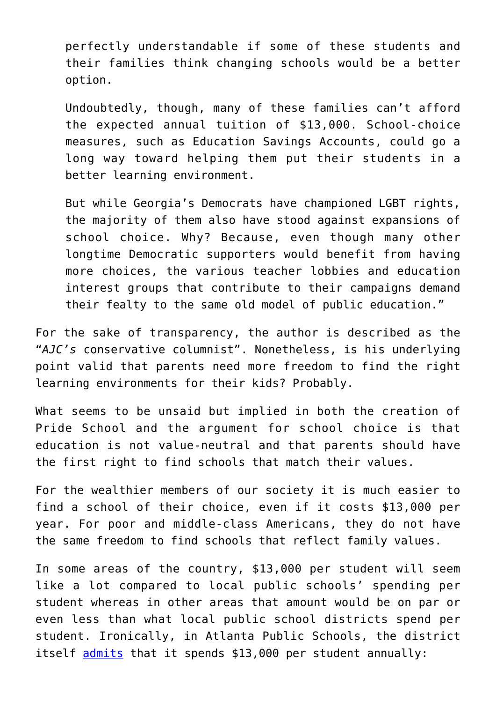perfectly understandable if some of these students and their families think changing schools would be a better option.

Undoubtedly, though, many of these families can't afford the expected annual tuition of \$13,000. School-choice measures, such as Education Savings Accounts, could go a long way toward helping them put their students in a better learning environment.

But while Georgia's Democrats have championed LGBT rights, the majority of them also have stood against expansions of school choice. Why? Because, even though many other longtime Democratic supporters would benefit from having more choices, the various teacher lobbies and education interest groups that contribute to their campaigns demand their fealty to the same old model of public education."

For the sake of transparency, the author is described as the "*AJC's* conservative columnist". Nonetheless, is his underlying point valid that parents need more freedom to find the right learning environments for their kids? Probably.

What seems to be unsaid but implied in both the creation of Pride School and the argument for school choice is that education is not value-neutral and that parents should have the first right to find schools that match their values.

For the wealthier members of our society it is much easier to find a school of their choice, even if it costs \$13,000 per year. For poor and middle-class Americans, they do not have the same freedom to find schools that reflect family values.

In some areas of the country, \$13,000 per student will seem like a lot compared to local public schools' spending per student whereas in other areas that amount would be on par or even less than what local public school districts spend per student. Ironically, in Atlanta Public Schools, the district itself [admits](http://www.atlantapublicschools.us/cms/lib/GA01000924/Centricity/Domain/12/Budget_Book_06.26.2015.pdf) that it spends \$13,000 per student annually: